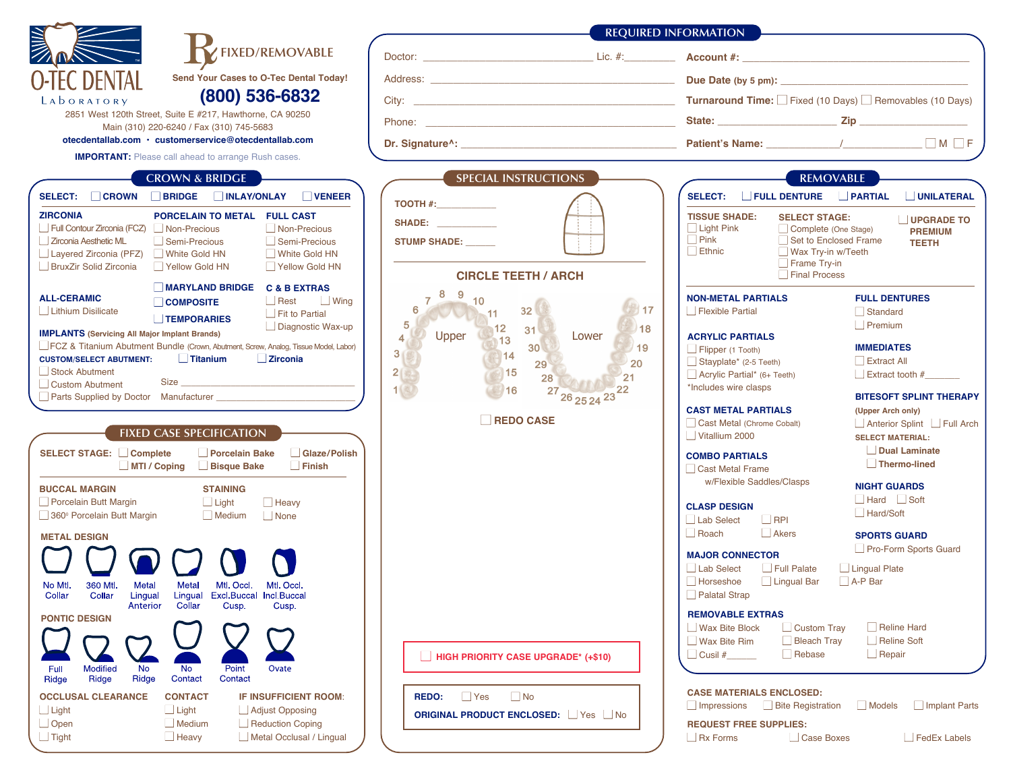|                                                                                                                                                                                                                                                                                                                                                                                                                                                                                                                                                                                                                                                                                                                                                                                                                                                                                                                                                                                                                                                                                                                                                                                                                                                                                                                                                                       |                                                                                                                                                                                                                                                                                                                                                                             | <b>REQUIRED INFORMATION</b>                                                                                                                                                                                                                                                                                                                                                                                                                                                                                                                                                                                                                                                                                                                                                                                                                                                                                                                                                                                                                                                                                                                                                                                                                                              |
|-----------------------------------------------------------------------------------------------------------------------------------------------------------------------------------------------------------------------------------------------------------------------------------------------------------------------------------------------------------------------------------------------------------------------------------------------------------------------------------------------------------------------------------------------------------------------------------------------------------------------------------------------------------------------------------------------------------------------------------------------------------------------------------------------------------------------------------------------------------------------------------------------------------------------------------------------------------------------------------------------------------------------------------------------------------------------------------------------------------------------------------------------------------------------------------------------------------------------------------------------------------------------------------------------------------------------------------------------------------------------|-----------------------------------------------------------------------------------------------------------------------------------------------------------------------------------------------------------------------------------------------------------------------------------------------------------------------------------------------------------------------------|--------------------------------------------------------------------------------------------------------------------------------------------------------------------------------------------------------------------------------------------------------------------------------------------------------------------------------------------------------------------------------------------------------------------------------------------------------------------------------------------------------------------------------------------------------------------------------------------------------------------------------------------------------------------------------------------------------------------------------------------------------------------------------------------------------------------------------------------------------------------------------------------------------------------------------------------------------------------------------------------------------------------------------------------------------------------------------------------------------------------------------------------------------------------------------------------------------------------------------------------------------------------------|
| FIXED/REMOVABLE                                                                                                                                                                                                                                                                                                                                                                                                                                                                                                                                                                                                                                                                                                                                                                                                                                                                                                                                                                                                                                                                                                                                                                                                                                                                                                                                                       |                                                                                                                                                                                                                                                                                                                                                                             |                                                                                                                                                                                                                                                                                                                                                                                                                                                                                                                                                                                                                                                                                                                                                                                                                                                                                                                                                                                                                                                                                                                                                                                                                                                                          |
| <b>FC DENTAL</b><br>Send Your Cases to O-Tec Dental Today!                                                                                                                                                                                                                                                                                                                                                                                                                                                                                                                                                                                                                                                                                                                                                                                                                                                                                                                                                                                                                                                                                                                                                                                                                                                                                                            |                                                                                                                                                                                                                                                                                                                                                                             |                                                                                                                                                                                                                                                                                                                                                                                                                                                                                                                                                                                                                                                                                                                                                                                                                                                                                                                                                                                                                                                                                                                                                                                                                                                                          |
| (800) 536-6832<br>LADORATORY                                                                                                                                                                                                                                                                                                                                                                                                                                                                                                                                                                                                                                                                                                                                                                                                                                                                                                                                                                                                                                                                                                                                                                                                                                                                                                                                          |                                                                                                                                                                                                                                                                                                                                                                             |                                                                                                                                                                                                                                                                                                                                                                                                                                                                                                                                                                                                                                                                                                                                                                                                                                                                                                                                                                                                                                                                                                                                                                                                                                                                          |
| 2851 West 120th Street, Suite E #217, Hawthorne, CA 90250<br>Main (310) 220-6240 / Fax (310) 745-5683                                                                                                                                                                                                                                                                                                                                                                                                                                                                                                                                                                                                                                                                                                                                                                                                                                                                                                                                                                                                                                                                                                                                                                                                                                                                 |                                                                                                                                                                                                                                                                                                                                                                             |                                                                                                                                                                                                                                                                                                                                                                                                                                                                                                                                                                                                                                                                                                                                                                                                                                                                                                                                                                                                                                                                                                                                                                                                                                                                          |
| otecdentallab.com · customerservice@otecdentallab.com                                                                                                                                                                                                                                                                                                                                                                                                                                                                                                                                                                                                                                                                                                                                                                                                                                                                                                                                                                                                                                                                                                                                                                                                                                                                                                                 |                                                                                                                                                                                                                                                                                                                                                                             | $\Box M \Box F$                                                                                                                                                                                                                                                                                                                                                                                                                                                                                                                                                                                                                                                                                                                                                                                                                                                                                                                                                                                                                                                                                                                                                                                                                                                          |
| <b>IMPORTANT:</b> Please call ahead to arrange Rush cases.                                                                                                                                                                                                                                                                                                                                                                                                                                                                                                                                                                                                                                                                                                                                                                                                                                                                                                                                                                                                                                                                                                                                                                                                                                                                                                            |                                                                                                                                                                                                                                                                                                                                                                             |                                                                                                                                                                                                                                                                                                                                                                                                                                                                                                                                                                                                                                                                                                                                                                                                                                                                                                                                                                                                                                                                                                                                                                                                                                                                          |
| <b>CROWN &amp; BRIDGE</b>                                                                                                                                                                                                                                                                                                                                                                                                                                                                                                                                                                                                                                                                                                                                                                                                                                                                                                                                                                                                                                                                                                                                                                                                                                                                                                                                             | <b>SPECIAL INSTRUCTIONS</b>                                                                                                                                                                                                                                                                                                                                                 | <b>REMOVABLE</b>                                                                                                                                                                                                                                                                                                                                                                                                                                                                                                                                                                                                                                                                                                                                                                                                                                                                                                                                                                                                                                                                                                                                                                                                                                                         |
| $\Box$ VENEER<br><b>SELECT:</b><br><b>CROWN</b><br><b>BRIDGE</b><br><b>NUMBER</b><br><b>ZIRCONIA</b><br>PORCELAIN TO METAL FULL CAST<br>Full Contour Zirconia (FCZ)   Non-Precious<br>Non-Precious<br><b>Zirconia Aesthetic ML</b><br>Semi-Precious<br>Semi-Precious<br>Layered Zirconia (PFZ)<br>White Gold HN<br>White Gold HN<br><b>BruxZir Solid Zirconia</b><br>Yellow Gold HN<br>Yellow Gold HN<br>MARYLAND BRIDGE C & B EXTRAS<br><b>ALL-CERAMIC</b><br>$\Box$ Rest<br>$\Box$ Wing<br><b>COMPOSITE</b><br>Lithium Disilicate<br>Fit to Partial<br><b>TEMPORARIES</b><br>Diagnostic Wax-up<br><b>IMPLANTS (Servicing All Major Implant Brands)</b><br>FCZ & Titanium Abutment Bundle (Crown, Abutment, Screw, Analog, Tissue Model, Labor)<br>Zirconia<br><b>CUSTOM/SELECT ABUTMENT:</b><br><b>Titanium</b><br>Stock Abutment<br>$Size$ __<br>Custom Abutment<br><b>FIXED CASE SPECIFICATION</b><br>SELECT STAGE: Complete<br>Glaze/Polish<br>Porcelain Bake<br>$\Box$ Finish<br>MTI / Coping<br><b>Bisque Bake</b><br><b>BUCCAL MARGIN</b><br><b>STAINING</b><br>$\Box$ Light<br>Porcelain Butt Margin<br>Heavy<br>360° Porcelain Butt Margin<br>Medium<br>None<br><b>METAL DESIGN</b><br>360 Mtl.<br>Metal<br>Metal Mtl. Occl. Mtl. Occl.<br>No Mtl.<br>Collar<br>Collar<br>Lingual<br>Lingual Excl Buccal Incl Bucca<br>Collar<br>Anterior<br>Cusp.<br>Cusp. | TOOTH #:<br>SHADE: A SHADE: A SHADE SHADE<br><b>STUMP SHADE:</b><br><b>CIRCLE TEETH / ARCH</b><br>8<br>9<br>10<br>图17<br>6<br>32<br>$-11$<br>5<br>12<br>18<br>31<br>Upper<br>$\overline{4}$<br>Lower<br>13<br>30 <sup>1</sup><br>19<br>3 <sup>1</sup><br>14<br>20<br>29<br>2 <sub>1</sub><br>15<br>28<br>21<br>1 <sup>o</sup><br>22<br>16<br>27<br>26 25 24 23<br>REDO CASE | PARTIAL<br><b>FULL DENTURE</b><br><b>UNILATERAL</b><br><b>SELECT:</b><br><b>TISSUE SHADE:</b><br><b>SELECT STAGE:</b><br>UPGRADE TO<br>Light Pink<br>Complete (One Stage)<br><b>PREMIUM</b><br>$\Box$ Pink<br>Set to Enclosed Frame<br><b>TEETH</b><br>Ethnic<br>Wax Try-in w/Teeth<br>Frame Try-in<br>Final Process<br><b>NON-METAL PARTIALS</b><br><b>FULL DENTURES</b><br>Flexible Partial<br>Standard<br>Premium<br><b>ACRYLIC PARTIALS</b><br><b>IMMEDIATES</b><br>Flipper (1 Tooth)<br>Extract All<br>Stayplate* (2-5 Teeth)<br>Acrylic Partial* (6+ Teeth)<br>$\Box$ Extract tooth #<br>*Includes wire clasps<br><b>BITESOFT SPLINT THERAPY</b><br><b>CAST METAL PARTIALS</b><br>(Upper Arch only)<br>Cast Metal (Chrome Cobalt)<br>Anterior Splint Full Arch<br>Vitallium 2000<br><b>SELECT MATERIAL:</b><br><b>Dual Laminate</b><br><b>COMBO PARTIALS</b><br>Thermo-lined<br>Cast Metal Frame<br>w/Flexible Saddles/Clasps<br><b>NIGHT GUARDS</b><br>$Hard$ Soft<br><b>CLASP DESIGN</b><br>Hard/Soft<br>$\Box$ RPI<br>Lab Select<br>Akers<br>Roach<br><b>SPORTS GUARD</b><br>Pro-Form Sports Guard<br><b>MAJOR CONNECTOR</b><br>Lab Select<br>Full Palate<br>Lingual Plate<br>A-P Bar<br>Horseshoe<br>□ Lingual Bar<br>Palatal Strap<br><b>REMOVABLE EXTRAS</b> |
| <b>PONTIC DESIGN</b><br><b>Modified</b><br>No<br>Point<br>Full<br>No.<br>Ovate<br>Ridge<br>Ridge<br>Contact<br>Contact<br>Ridge                                                                                                                                                                                                                                                                                                                                                                                                                                                                                                                                                                                                                                                                                                                                                                                                                                                                                                                                                                                                                                                                                                                                                                                                                                       | <b>HIGH PRIORITY CASE UPGRADE* (+\$10)</b>                                                                                                                                                                                                                                                                                                                                  | Reline Hard<br><b>Wax Bite Block</b><br>$\Box$ Custom Tray<br>Reline Soft<br>Wax Bite Rim<br>Bleach Tray<br>$\Box$ Repair<br>$Cusil \#$<br>Rebase                                                                                                                                                                                                                                                                                                                                                                                                                                                                                                                                                                                                                                                                                                                                                                                                                                                                                                                                                                                                                                                                                                                        |
| <b>OCCLUSAL CLEARANCE</b><br><b>CONTACT</b><br>IF INSUFFICIENT ROOM:<br>$\Box$ Light<br>$\Box$ Light<br>Adjust Opposing<br>$\Box$ Open<br>Medium<br>Reduction Coping<br>$\Box$ Tight<br>$H$ eavy<br>Metal Occlusal / Lingual                                                                                                                                                                                                                                                                                                                                                                                                                                                                                                                                                                                                                                                                                                                                                                                                                                                                                                                                                                                                                                                                                                                                          | $\Box$ No<br><b>Yes</b><br>REDO:<br><b>ORIGINAL PRODUCT ENCLOSED:</b> Yes No                                                                                                                                                                                                                                                                                                | <b>CASE MATERIALS ENCLOSED:</b><br><b>Bite Registration</b><br>Models<br>Implant Parts<br>$\Box$ Impressions<br><b>REQUEST FREE SUPPLIES:</b><br>Rx Forms<br>Case Boxes<br>$\Box$ FedEx Labels                                                                                                                                                                                                                                                                                                                                                                                                                                                                                                                                                                                                                                                                                                                                                                                                                                                                                                                                                                                                                                                                           |